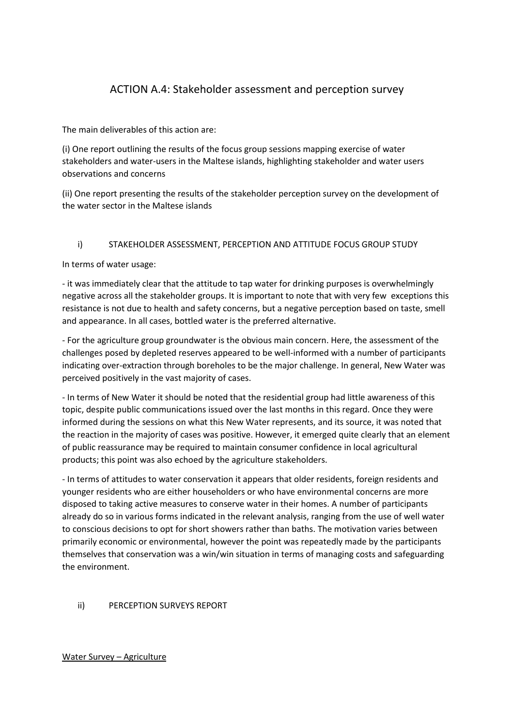# ACTION A.4: Stakeholder assessment and perception survey

The main deliverables of this action are:

(i) One report outlining the results of the focus group sessions mapping exercise of water stakeholders and water-users in the Maltese islands, highlighting stakeholder and water users observations and concerns

(ii) One report presenting the results of the stakeholder perception survey on the development of the water sector in the Maltese islands

# i) STAKEHOLDER ASSESSMENT, PERCEPTION AND ATTITUDE FOCUS GROUP STUDY

In terms of water usage:

- it was immediately clear that the attitude to tap water for drinking purposes is overwhelmingly negative across all the stakeholder groups. It is important to note that with very few exceptions this resistance is not due to health and safety concerns, but a negative perception based on taste, smell and appearance. In all cases, bottled water is the preferred alternative.

- For the agriculture group groundwater is the obvious main concern. Here, the assessment of the challenges posed by depleted reserves appeared to be well-informed with a number of participants indicating over-extraction through boreholes to be the major challenge. In general, New Water was perceived positively in the vast majority of cases.

- In terms of New Water it should be noted that the residential group had little awareness of this topic, despite public communications issued over the last months in this regard. Once they were informed during the sessions on what this New Water represents, and its source, it was noted that the reaction in the majority of cases was positive. However, it emerged quite clearly that an element of public reassurance may be required to maintain consumer confidence in local agricultural products; this point was also echoed by the agriculture stakeholders.

- In terms of attitudes to water conservation it appears that older residents, foreign residents and younger residents who are either householders or who have environmental concerns are more disposed to taking active measures to conserve water in their homes. A number of participants already do so in various forms indicated in the relevant analysis, ranging from the use of well water to conscious decisions to opt for short showers rather than baths. The motivation varies between primarily economic or environmental, however the point was repeatedly made by the participants themselves that conservation was a win/win situation in terms of managing costs and safeguarding the environment.

# ii) PERCEPTION SURVEYS REPORT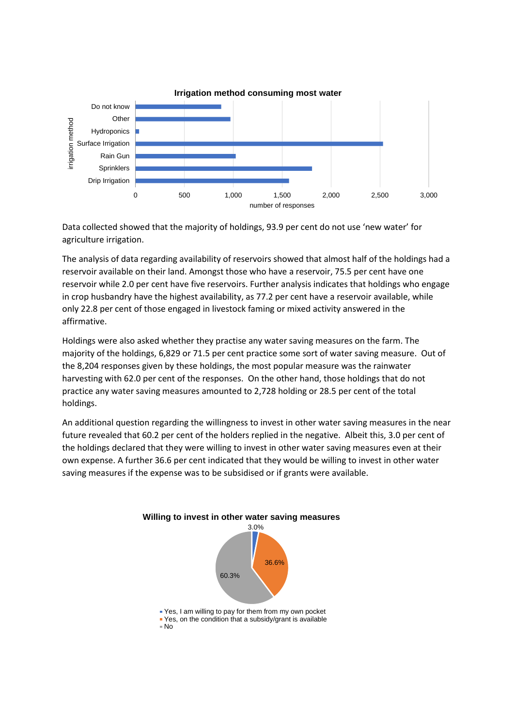

Data collected showed that the majority of holdings, 93.9 per cent do not use 'new water' for agriculture irrigation.

The analysis of data regarding availability of reservoirs showed that almost half of the holdings had a reservoir available on their land. Amongst those who have a reservoir, 75.5 per cent have one reservoir while 2.0 per cent have five reservoirs. Further analysis indicates that holdings who engage in crop husbandry have the highest availability, as 77.2 per cent have a reservoir available, while only 22.8 per cent of those engaged in livestock faming or mixed activity answered in the affirmative.

Holdings were also asked whether they practise any water saving measures on the farm. The majority of the holdings, 6,829 or 71.5 per cent practice some sort of water saving measure. Out of the 8,204 responses given by these holdings, the most popular measure was the rainwater harvesting with 62.0 per cent of the responses. On the other hand, those holdings that do not practice any water saving measures amounted to 2,728 holding or 28.5 per cent of the total holdings.

An additional question regarding the willingness to invest in other water saving measures in the near future revealed that 60.2 per cent of the holders replied in the negative. Albeit this, 3.0 per cent of the holdings declared that they were willing to invest in other water saving measures even at their own expense. A further 36.6 per cent indicated that they would be willing to invest in other water saving measures if the expense was to be subsidised or if grants were available.

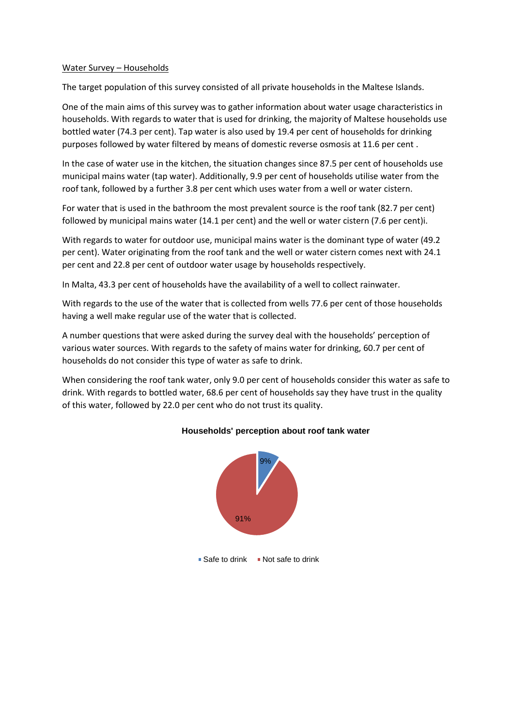#### Water Survey – Households

The target population of this survey consisted of all private households in the Maltese Islands.

One of the main aims of this survey was to gather information about water usage characteristics in households. With regards to water that is used for drinking, the majority of Maltese households use bottled water (74.3 per cent). Tap water is also used by 19.4 per cent of households for drinking purposes followed by water filtered by means of domestic reverse osmosis at 11.6 per cent .

In the case of water use in the kitchen, the situation changes since 87.5 per cent of households use municipal mains water (tap water). Additionally, 9.9 per cent of households utilise water from the roof tank, followed by a further 3.8 per cent which uses water from a well or water cistern.

For water that is used in the bathroom the most prevalent source is the roof tank (82.7 per cent) followed by municipal mains water (14.1 per cent) and the well or water cistern (7.6 per cent)i.

With regards to water for outdoor use, municipal mains water is the dominant type of water (49.2 per cent). Water originating from the roof tank and the well or water cistern comes next with 24.1 per cent and 22.8 per cent of outdoor water usage by households respectively.

In Malta, 43.3 per cent of households have the availability of a well to collect rainwater.

With regards to the use of the water that is collected from wells 77.6 per cent of those households having a well make regular use of the water that is collected.

A number questions that were asked during the survey deal with the households' perception of various water sources. With regards to the safety of mains water for drinking, 60.7 per cent of households do not consider this type of water as safe to drink.

When considering the roof tank water, only 9.0 per cent of households consider this water as safe to drink. With regards to bottled water, 68.6 per cent of households say they have trust in the quality of this water, followed by 22.0 per cent who do not trust its quality.



## **Households' perception about roof tank water**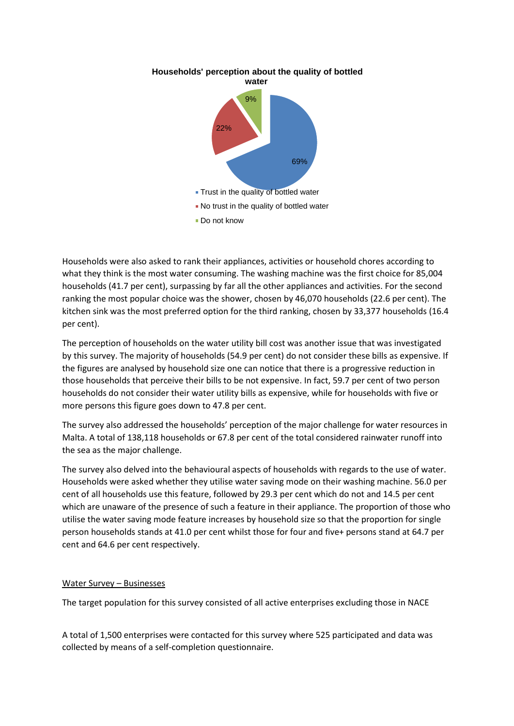

**Households' perception about the quality of bottled** 

Households were also asked to rank their appliances, activities or household chores according to what they think is the most water consuming. The washing machine was the first choice for 85,004 households (41.7 per cent), surpassing by far all the other appliances and activities. For the second ranking the most popular choice was the shower, chosen by 46,070 households (22.6 per cent). The kitchen sink was the most preferred option for the third ranking, chosen by 33,377 households (16.4 per cent).

The perception of households on the water utility bill cost was another issue that was investigated by this survey. The majority of households (54.9 per cent) do not consider these bills as expensive. If the figures are analysed by household size one can notice that there is a progressive reduction in those households that perceive their bills to be not expensive. In fact, 59.7 per cent of two person households do not consider their water utility bills as expensive, while for households with five or more persons this figure goes down to 47.8 per cent.

The survey also addressed the households' perception of the major challenge for water resources in Malta. A total of 138,118 households or 67.8 per cent of the total considered rainwater runoff into the sea as the major challenge.

The survey also delved into the behavioural aspects of households with regards to the use of water. Households were asked whether they utilise water saving mode on their washing machine. 56.0 per cent of all households use this feature, followed by 29.3 per cent which do not and 14.5 per cent which are unaware of the presence of such a feature in their appliance. The proportion of those who utilise the water saving mode feature increases by household size so that the proportion for single person households stands at 41.0 per cent whilst those for four and five+ persons stand at 64.7 per cent and 64.6 per cent respectively.

## Water Survey – Businesses

The target population for this survey consisted of all active enterprises excluding those in NACE

A total of 1,500 enterprises were contacted for this survey where 525 participated and data was collected by means of a self-completion questionnaire.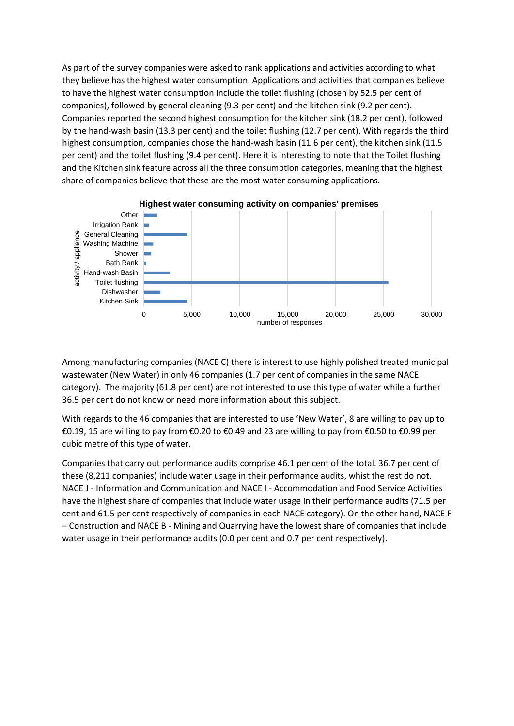As part of the survey companies were asked to rank applications and activities according to what they believe has the highest water consumption. Applications and activities that companies believe to have the highest water consumption include the toilet flushing (chosen by 52.5 per cent of companies), followed by general cleaning (9.3 per cent) and the kitchen sink (9.2 per cent). Companies reported the second highest consumption for the kitchen sink (18.2 per cent), followed by the hand-wash basin (13.3 per cent) and the toilet flushing (12.7 per cent). With regards the third highest consumption, companies chose the hand-wash basin (11.6 per cent), the kitchen sink (11.5 per cent) and the toilet flushing (9.4 per cent). Here it is interesting to note that the Toilet flushing and the Kitchen sink feature across all the three consumption categories, meaning that the highest share of companies believe that these are the most water consuming applications.



Among manufacturing companies (NACE C) there is interest to use highly polished treated municipal wastewater (New Water) in only 46 companies (1.7 per cent of companies in the same NACE category). The majority (61.8 per cent) are not interested to use this type of water while a further 36.5 per cent do not know or need more information about this subject.

With regards to the 46 companies that are interested to use 'New Water', 8 are willing to pay up to €0.19, 15 are willing to pay from €0.20 to €0.49 and 23 are willing to pay from €0.50 to €0.99 per cubic metre of this type of water.

Companies that carry out performance audits comprise 46.1 per cent of the total. 36.7 per cent of these (8,211 companies) include water usage in their performance audits, whist the rest do not. NACE J - Information and Communication and NACE I - Accommodation and Food Service Activities have the highest share of companies that include water usage in their performance audits (71.5 per cent and 61.5 per cent respectively of companies in each NACE category). On the other hand, NACE F – Construction and NACE B - Mining and Quarrying have the lowest share of companies that include water usage in their performance audits (0.0 per cent and 0.7 per cent respectively).